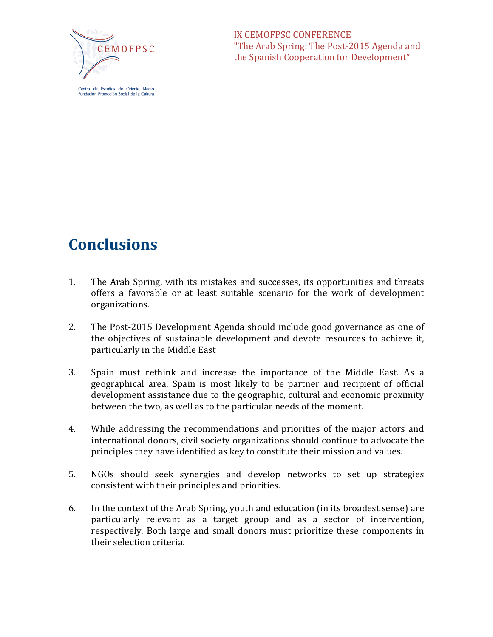

Centro de Estudios de Oriente Medio ndación Promoción Social de la Cultura IX CEMOFPSC CONFERENCE "The Arab Spring: The Post-2015 Agenda and the Spanish Cooperation for Development"

## **Conclusions**

- 1. The Arab Spring, with its mistakes and successes, its opportunities and threats offers a favorable or at least suitable scenario for the work of development organizations.
- 2. The Post-2015 Development Agenda should include good governance as one of the objectives of sustainable development and devote resources to achieve it, particularly in the Middle East
- 3. Spain must rethink and increase the importance of the Middle East. As a geographical area, Spain is most likely to be partner and recipient of official development assistance due to the geographic, cultural and economic proximity between the two, as well as to the particular needs of the moment.
- 4. While addressing the recommendations and priorities of the major actors and international donors, civil society organizations should continue to advocate the principles they have identified as key to constitute their mission and values.
- 5. NGOs should seek synergies and develop networks to set up strategies consistent with their principles and priorities.
- 6. In the context of the Arab Spring, youth and education (in its broadest sense) are particularly relevant as a target group and as a sector of intervention, respectively. Both large and small donors must prioritize these components in their selection criteria.